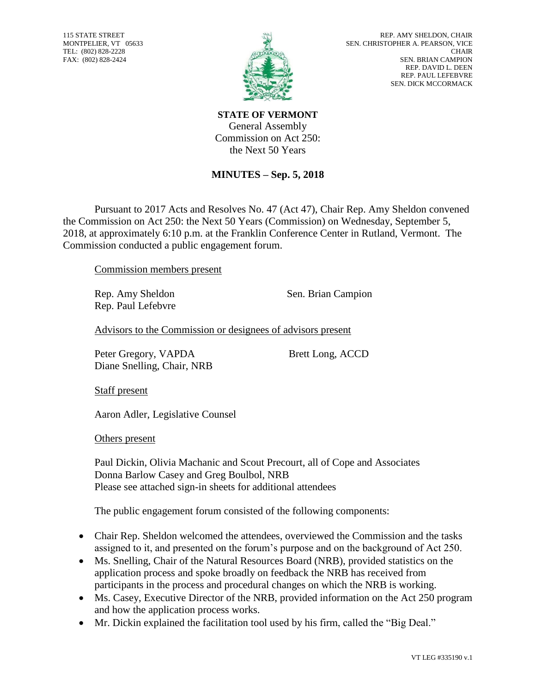115 STATE STREET MONTPELIER, VT 05633 TEL: (802) 828-2228 FAX: (802) 828-2424



**STATE OF VERMONT** General Assembly Commission on Act 250: the Next 50 Years

## **MINUTES – Sep. 5, 2018**

Pursuant to 2017 Acts and Resolves No. 47 (Act 47), Chair Rep. Amy Sheldon convened the Commission on Act 250: the Next 50 Years (Commission) on Wednesday, September 5, 2018, at approximately 6:10 p.m. at the Franklin Conference Center in Rutland, Vermont. The Commission conducted a public engagement forum.

Commission members present

Rep. Paul Lefebvre

Rep. Amy Sheldon Sen. Brian Campion

Advisors to the Commission or designees of advisors present

Peter Gregory, VAPDA Brett Long, ACCD Diane Snelling, Chair, NRB

Staff present

Aaron Adler, Legislative Counsel

Others present

Paul Dickin, Olivia Machanic and Scout Precourt, all of Cope and Associates Donna Barlow Casey and Greg Boulbol, NRB Please see attached sign-in sheets for additional attendees

The public engagement forum consisted of the following components:

- Chair Rep. Sheldon welcomed the attendees, overviewed the Commission and the tasks assigned to it, and presented on the forum's purpose and on the background of Act 250.
- Ms. Snelling, Chair of the Natural Resources Board (NRB), provided statistics on the application process and spoke broadly on feedback the NRB has received from participants in the process and procedural changes on which the NRB is working.
- Ms. Casey, Executive Director of the NRB, provided information on the Act 250 program and how the application process works.
- Mr. Dickin explained the facilitation tool used by his firm, called the "Big Deal."